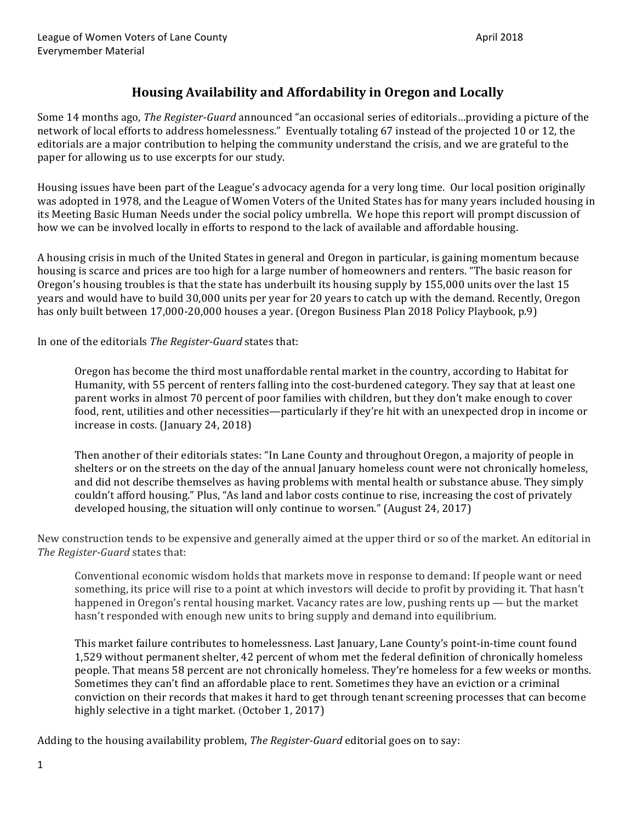# **Housing Availability and Affordability in Oregon and Locally**

Some 14 months ago, *The Register-Guard* announced "an occasional series of editorials...providing a picture of the network of local efforts to address homelessness." Eventually totaling 67 instead of the projected 10 or 12, the editorials are a major contribution to helping the community understand the crisis, and we are grateful to the paper for allowing us to use excerpts for our study.

Housing issues have been part of the League's advocacy agenda for a very long time. Our local position originally was adopted in 1978, and the League of Women Voters of the United States has for many years included housing in its Meeting Basic Human Needs under the social policy umbrella. We hope this report will prompt discussion of how we can be involved locally in efforts to respond to the lack of available and affordable housing.

A housing crisis in much of the United States in general and Oregon in particular, is gaining momentum because housing is scarce and prices are too high for a large number of homeowners and renters. "The basic reason for Oregon's housing troubles is that the state has underbuilt its housing supply by 155,000 units over the last 15 years and would have to build 30,000 units per year for 20 years to catch up with the demand. Recently, Oregon has only built between 17,000-20,000 houses a year. (Oregon Business Plan 2018 Policy Playbook, p.9)

In one of the editorials *The Register-Guard* states that:

Oregon has become the third most unaffordable rental market in the country, according to Habitat for Humanity, with 55 percent of renters falling into the cost-burdened category. They say that at least one parent works in almost 70 percent of poor families with children, but they don't make enough to cover food, rent, utilities and other necessities—particularly if they're hit with an unexpected drop in income or increase in costs.  $($ January 24, 2018)

Then another of their editorials states: "In Lane County and throughout Oregon, a majority of people in shelters or on the streets on the day of the annual January homeless count were not chronically homeless, and did not describe themselves as having problems with mental health or substance abuse. They simply couldn't afford housing." Plus, "As land and labor costs continue to rise, increasing the cost of privately developed housing, the situation will only continue to worsen." (August 24, 2017)

New construction tends to be expensive and generally aimed at the upper third or so of the market. An editorial in *The Register-Guard* states that: 

Conventional economic wisdom holds that markets move in response to demand: If people want or need something, its price will rise to a point at which investors will decide to profit by providing it. That hasn't happened in Oregon's rental housing market. Vacancy rates are low, pushing rents  $up$  — but the market hasn't responded with enough new units to bring supply and demand into equilibrium.

This market failure contributes to homelessness. Last January, Lane County's point-in-time count found 1,529 without permanent shelter, 42 percent of whom met the federal definition of chronically homeless people. That means 58 percent are not chronically homeless. They're homeless for a few weeks or months. Sometimes they can't find an affordable place to rent. Sometimes they have an eviction or a criminal conviction on their records that makes it hard to get through tenant screening processes that can become highly selective in a tight market. (October 1, 2017)

Adding to the housing availability problem, *The Register-Guard* editorial goes on to say: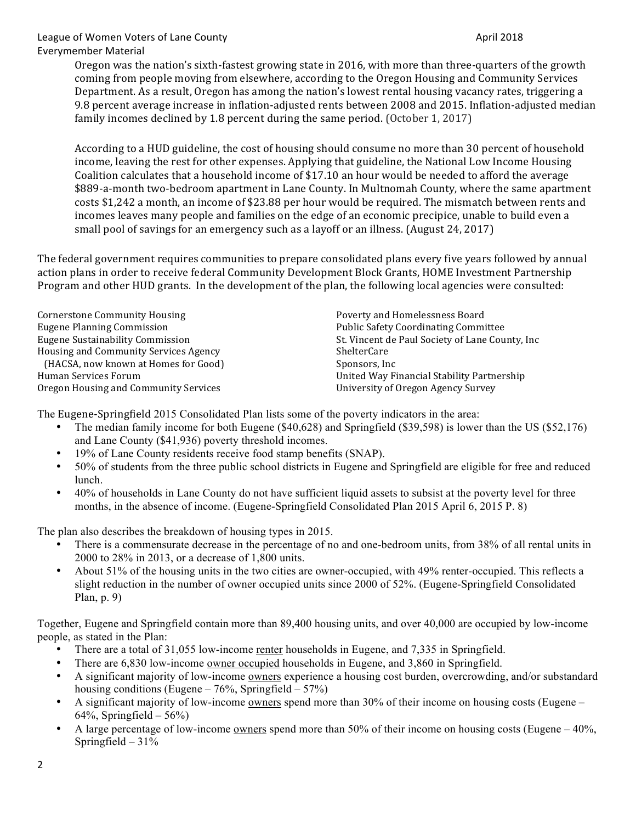Oregon was the nation's sixth-fastest growing state in 2016, with more than three-quarters of the growth coming from people moving from elsewhere, according to the Oregon Housing and Community Services Department. As a result, Oregon has among the nation's lowest rental housing vacancy rates, triggering a 9.8 percent average increase in inflation-adjusted rents between 2008 and 2015. Inflation-adjusted median family incomes declined by 1.8 percent during the same period. (October 1, 2017)

According to a HUD guideline, the cost of housing should consume no more than 30 percent of household income, leaving the rest for other expenses. Applying that guideline, the National Low Income Housing Coalition calculates that a household income of \$17.10 an hour would be needed to afford the average \$889-a-month two-bedroom apartment in Lane County. In Multnomah County, where the same apartment costs \$1,242 a month, an income of \$23.88 per hour would be required. The mismatch between rents and incomes leaves many people and families on the edge of an economic precipice, unable to build even a small pool of savings for an emergency such as a layoff or an illness. (August 24, 2017)

The federal government requires communities to prepare consolidated plans every five years followed by annual action plans in order to receive federal Community Development Block Grants, HOME Investment Partnership Program and other HUD grants. In the development of the plan, the following local agencies were consulted:

| Cornerstone Community Housing                | Poverty and Homelessness Board                   |
|----------------------------------------------|--------------------------------------------------|
| <b>Eugene Planning Commission</b>            | <b>Public Safety Coordinating Committee</b>      |
| <b>Eugene Sustainability Commission</b>      | St. Vincent de Paul Society of Lane County, Inc. |
| <b>Housing and Community Services Agency</b> | <b>ShelterCare</b>                               |
| (HACSA, now known at Homes for Good)         | Sponsors, Inc.                                   |
| Human Services Forum                         | United Way Financial Stability Partnership       |
| Oregon Housing and Community Services        | University of Oregon Agency Survey               |
|                                              |                                                  |

The Eugene-Springfield 2015 Consolidated Plan lists some of the poverty indicators in the area:

- The median family income for both Eugene (\$40,628) and Springfield (\$39,598) is lower than the US (\$52,176) and Lane County (\$41,936) poverty threshold incomes.
- 19% of Lane County residents receive food stamp benefits (SNAP).
- 50% of students from the three public school districts in Eugene and Springfield are eligible for free and reduced lunch.
- 40% of households in Lane County do not have sufficient liquid assets to subsist at the poverty level for three months, in the absence of income. (Eugene-Springfield Consolidated Plan 2015 April 6, 2015 P. 8)

The plan also describes the breakdown of housing types in 2015.

- There is a commensurate decrease in the percentage of no and one-bedroom units, from 38% of all rental units in 2000 to 28% in 2013, or a decrease of 1,800 units.
- About 51% of the housing units in the two cities are owner-occupied, with 49% renter-occupied. This reflects a slight reduction in the number of owner occupied units since 2000 of 52%. (Eugene-Springfield Consolidated Plan, p. 9)

Together, Eugene and Springfield contain more than 89,400 housing units, and over 40,000 are occupied by low-income people, as stated in the Plan:

- There are a total of 31,055 low-income renter households in Eugene, and 7,335 in Springfield.
- There are 6,830 low-income owner occupied households in Eugene, and 3,860 in Springfield.
- A significant majority of low-income owners experience a housing cost burden, overcrowding, and/or substandard housing conditions (Eugene –  $76\%$ , Springfield –  $57\%$ )
- A significant majority of low-income owners spend more than 30% of their income on housing costs (Eugene  $64\%$ , Springfield –  $56\%$ )
- A large percentage of low-income owners spend more than 50% of their income on housing costs (Eugene 40%, Springfield  $-31%$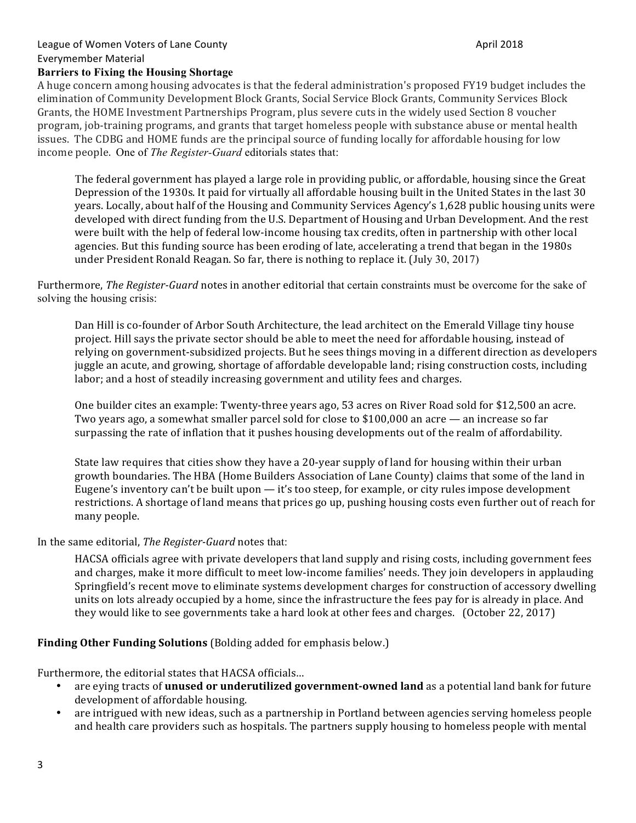### **Barriers to Fixing the Housing Shortage**

A huge concern among housing advocates is that the federal administration's proposed FY19 budget includes the elimination of Community Development Block Grants, Social Service Block Grants, Community Services Block Grants, the HOME Investment Partnerships Program, plus severe cuts in the widely used Section 8 voucher program, job-training programs, and grants that target homeless people with substance abuse or mental health issues. The CDBG and HOME funds are the principal source of funding locally for affordable housing for low income people. One of *The Register-Guard* editorials states that:

The federal government has played a large role in providing public, or affordable, housing since the Great Depression of the 1930s. It paid for virtually all affordable housing built in the United States in the last 30 years. Locally, about half of the Housing and Community Services Agency's 1,628 public housing units were developed with direct funding from the U.S. Department of Housing and Urban Development. And the rest were built with the help of federal low-income housing tax credits, often in partnership with other local agencies. But this funding source has been eroding of late, accelerating a trend that began in the 1980s under President Ronald Reagan. So far, there is nothing to replace it. (July 30, 2017)

Furthermore, *The Register-Guard* notes in another editorial that certain constraints must be overcome for the sake of solving the housing crisis:

Dan Hill is co-founder of Arbor South Architecture, the lead architect on the Emerald Village tiny house project. Hill says the private sector should be able to meet the need for affordable housing, instead of relying on government-subsidized projects. But he sees things moving in a different direction as developers juggle an acute, and growing, shortage of affordable developable land; rising construction costs, including labor; and a host of steadily increasing government and utility fees and charges.

One builder cites an example: Twenty-three years ago, 53 acres on River Road sold for \$12,500 an acre. Two years ago, a somewhat smaller parcel sold for close to  $$100,000$  an acre — an increase so far surpassing the rate of inflation that it pushes housing developments out of the realm of affordability.

State law requires that cities show they have a 20-year supply of land for housing within their urban growth boundaries. The HBA (Home Builders Association of Lane County) claims that some of the land in Eugene's inventory can't be built upon  $-$  it's too steep, for example, or city rules impose development restrictions. A shortage of land means that prices go up, pushing housing costs even further out of reach for many people.

#### In the same editorial, *The Register-Guard* notes that:

HACSA officials agree with private developers that land supply and rising costs, including government fees and charges, make it more difficult to meet low-income families' needs. They join developers in applauding Springfield's recent move to eliminate systems development charges for construction of accessory dwelling units on lots already occupied by a home, since the infrastructure the fees pay for is already in place. And they would like to see governments take a hard look at other fees and charges. (October 22, 2017)

#### **Finding Other Funding Solutions** (Bolding added for emphasis below.)

Furthermore, the editorial states that HACSA officials...

- are eying tracts of **unused or underutilized government-owned land** as a potential land bank for future development of affordable housing.
- are intrigued with new ideas, such as a partnership in Portland between agencies serving homeless people and health care providers such as hospitals. The partners supply housing to homeless people with mental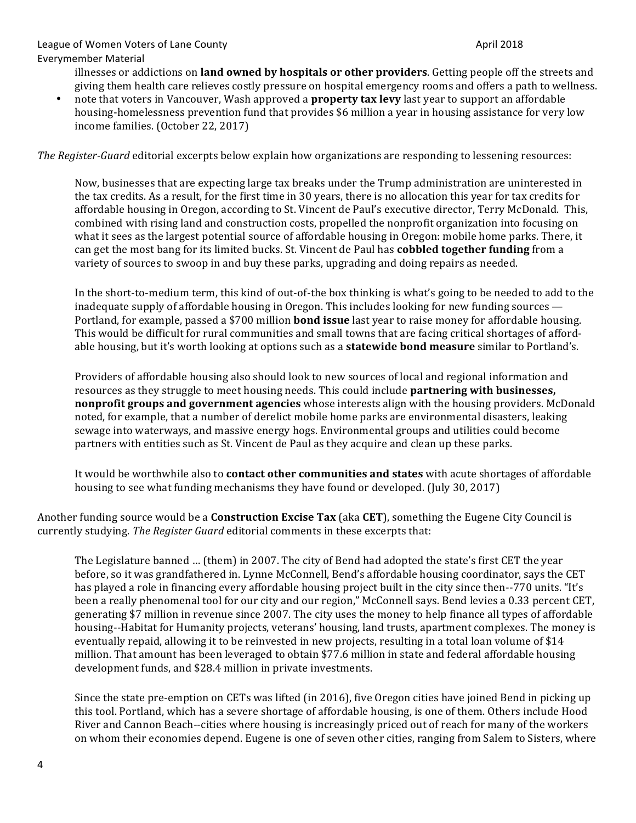illnesses or addictions on **land owned by hospitals or other providers**. Getting people off the streets and giving them health care relieves costly pressure on hospital emergency rooms and offers a path to wellness.

note that voters in Vancouver, Wash approved a **property tax levy** last year to support an affordable housing-homelessness prevention fund that provides \$6 million a year in housing assistance for very low income families. (October 22, 2017)

*The Register-Guard* editorial excerpts below explain how organizations are responding to lessening resources:

Now, businesses that are expecting large tax breaks under the Trump administration are uninterested in the tax credits. As a result, for the first time in 30 years, there is no allocation this year for tax credits for affordable housing in Oregon, according to St. Vincent de Paul's executive director, Terry McDonald. This, combined with rising land and construction costs, propelled the nonprofit organization into focusing on what it sees as the largest potential source of affordable housing in Oregon: mobile home parks. There, it can get the most bang for its limited bucks. St. Vincent de Paul has **cobbled together funding** from a variety of sources to swoop in and buy these parks, upgrading and doing repairs as needed.

In the short-to-medium term, this kind of out-of-the box thinking is what's going to be needed to add to the inadequate supply of affordable housing in Oregon. This includes looking for new funding sources  $\overline{\phantom{a}}$ Portland, for example, passed a \$700 million **bond issue** last year to raise money for affordable housing. This would be difficult for rural communities and small towns that are facing critical shortages of affordable housing, but it's worth looking at options such as a **statewide bond measure** similar to Portland's.

Providers of affordable housing also should look to new sources of local and regional information and resources as they struggle to meet housing needs. This could include **partnering with businesses, nonprofit groups and government agencies** whose interests align with the housing providers. McDonald noted, for example, that a number of derelict mobile home parks are environmental disasters, leaking sewage into waterways, and massive energy hogs. Environmental groups and utilities could become partners with entities such as St. Vincent de Paul as they acquire and clean up these parks.

It would be worthwhile also to **contact other communities and states** with acute shortages of affordable housing to see what funding mechanisms they have found or developed. (July 30, 2017)

Another funding source would be a **Construction Excise Tax** (aka **CET**), something the Eugene City Council is currently studying. *The Register Guard* editorial comments in these excerpts that:

The Legislature banned ... (them) in 2007. The city of Bend had adopted the state's first CET the year before, so it was grandfathered in. Lynne McConnell, Bend's affordable housing coordinator, says the CET has played a role in financing every affordable housing project built in the city since then--770 units. "It's been a really phenomenal tool for our city and our region," McConnell says. Bend levies a 0.33 percent CET, generating \$7 million in revenue since 2007. The city uses the money to help finance all types of affordable housing--Habitat for Humanity projects, veterans' housing, land trusts, apartment complexes. The money is eventually repaid, allowing it to be reinvested in new projects, resulting in a total loan volume of \$14 million. That amount has been leveraged to obtain \$77.6 million in state and federal affordable housing development funds, and \$28.4 million in private investments.

Since the state pre-emption on CETs was lifted (in 2016), five Oregon cities have joined Bend in picking up this tool. Portland, which has a severe shortage of affordable housing, is one of them. Others include Hood River and Cannon Beach--cities where housing is increasingly priced out of reach for many of the workers on whom their economies depend. Eugene is one of seven other cities, ranging from Salem to Sisters, where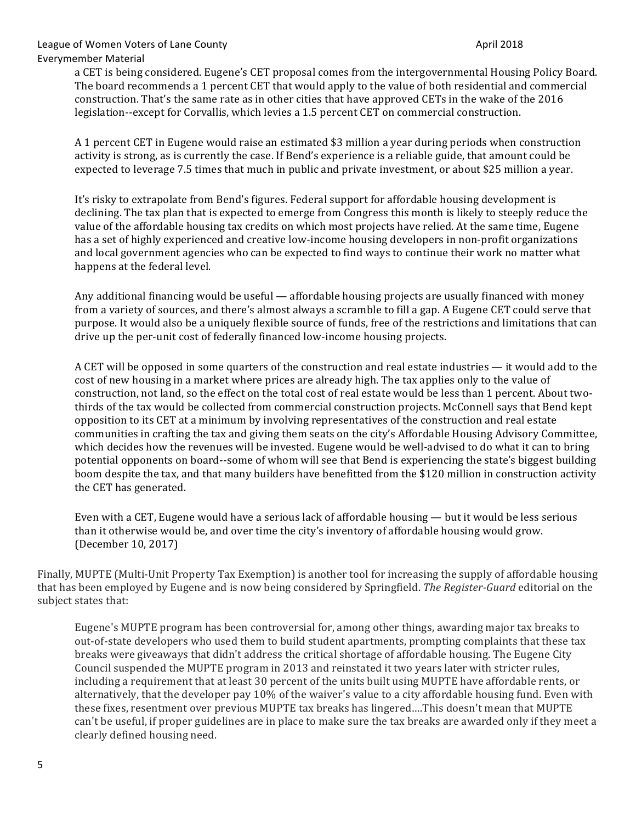a CET is being considered. Eugene's CET proposal comes from the intergovernmental Housing Policy Board. The board recommends a 1 percent CET that would apply to the value of both residential and commercial construction. That's the same rate as in other cities that have approved CETs in the wake of the 2016 legislation--except for Corvallis, which levies a 1.5 percent CET on commercial construction.

A 1 percent CET in Eugene would raise an estimated \$3 million a year during periods when construction activity is strong, as is currently the case. If Bend's experience is a reliable guide, that amount could be expected to leverage 7.5 times that much in public and private investment, or about \$25 million a year.

It's risky to extrapolate from Bend's figures. Federal support for affordable housing development is declining. The tax plan that is expected to emerge from Congress this month is likely to steeply reduce the value of the affordable housing tax credits on which most projects have relied. At the same time, Eugene has a set of highly experienced and creative low-income housing developers in non-profit organizations and local government agencies who can be expected to find ways to continue their work no matter what happens at the federal level.

Any additional financing would be useful — affordable housing projects are usually financed with money from a variety of sources, and there's almost always a scramble to fill a gap. A Eugene CET could serve that purpose. It would also be a uniquely flexible source of funds, free of the restrictions and limitations that can drive up the per-unit cost of federally financed low-income housing projects.

A CET will be opposed in some quarters of the construction and real estate industries — it would add to the cost of new housing in a market where prices are already high. The tax applies only to the value of construction, not land, so the effect on the total cost of real estate would be less than 1 percent. About twothirds of the tax would be collected from commercial construction projects. McConnell says that Bend kept opposition to its CET at a minimum by involving representatives of the construction and real estate communities in crafting the tax and giving them seats on the city's Affordable Housing Advisory Committee, which decides how the revenues will be invested. Eugene would be well-advised to do what it can to bring potential opponents on board--some of whom will see that Bend is experiencing the state's biggest building boom despite the tax, and that many builders have benefitted from the \$120 million in construction activity the CET has generated.

Even with a CET, Eugene would have a serious lack of affordable housing  $-$  but it would be less serious than it otherwise would be, and over time the city's inventory of affordable housing would grow. (December 10, 2017)

Finally, MUPTE (Multi-Unit Property Tax Exemption) is another tool for increasing the supply of affordable housing that has been employed by Eugene and is now being considered by Springfield. *The Register-Guard* editorial on the subject states that:

Eugene's MUPTE program has been controversial for, among other things, awarding major tax breaks to out-of-state developers who used them to build student apartments, prompting complaints that these tax breaks were giveaways that didn't address the critical shortage of affordable housing. The Eugene City Council suspended the MUPTE program in 2013 and reinstated it two years later with stricter rules, including a requirement that at least 30 percent of the units built using MUPTE have affordable rents, or alternatively, that the developer pay 10% of the waiver's value to a city affordable housing fund. Even with these fixes, resentment over previous MUPTE tax breaks has lingered....This doesn't mean that MUPTE can't be useful, if proper guidelines are in place to make sure the tax breaks are awarded only if they meet a clearly defined housing need.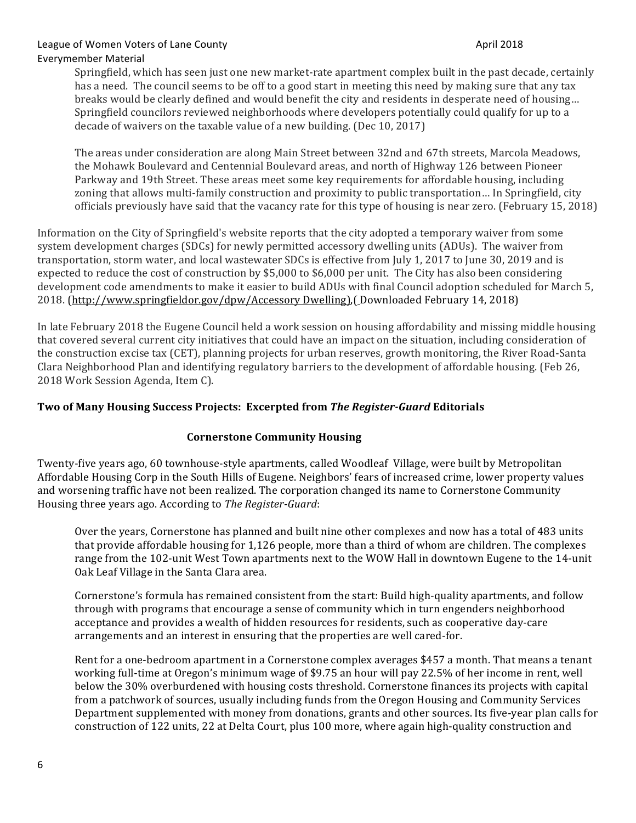Springfield, which has seen just one new market-rate apartment complex built in the past decade, certainly has a need. The council seems to be off to a good start in meeting this need by making sure that any tax breaks would be clearly defined and would benefit the city and residents in desperate need of housing... Springfield councilors reviewed neighborhoods where developers potentially could qualify for up to a decade of waivers on the taxable value of a new building. (Dec 10, 2017)

The areas under consideration are along Main Street between 32nd and 67th streets, Marcola Meadows, the Mohawk Boulevard and Centennial Boulevard areas, and north of Highway 126 between Pioneer Parkway and 19th Street. These areas meet some key requirements for affordable housing, including zoning that allows multi-family construction and proximity to public transportation... In Springfield, city officials previously have said that the vacancy rate for this type of housing is near zero. (February 15, 2018)

Information on the City of Springfield's website reports that the city adopted a temporary waiver from some system development charges (SDCs) for newly permitted accessory dwelling units (ADUs). The waiver from transportation, storm water, and local wastewater SDCs is effective from July 1, 2017 to June 30, 2019 and is expected to reduce the cost of construction by \$5,000 to \$6,000 per unit. The City has also been considering development code amendments to make it easier to build ADUs with final Council adoption scheduled for March 5, 2018. (http://www.springfieldor.gov/dpw/Accessory Dwelling), [Downloaded February 14, 2018)

In late February 2018 the Eugene Council held a work session on housing affordability and missing middle housing that covered several current city initiatives that could have an impact on the situation, including consideration of the construction excise tax (CET), planning projects for urban reserves, growth monitoring, the River Road-Santa Clara Neighborhood Plan and identifying regulatory barriers to the development of affordable housing. (Feb 26, 2018 Work Session Agenda, Item C).

## **Two of Many Housing Success Projects: Excerpted from** *The Register-Guard* **Editorials**

## **Cornerstone Community Housing**

Twenty-five years ago, 60 townhouse-style apartments, called Woodleaf Village, were built by Metropolitan Affordable Housing Corp in the South Hills of Eugene. Neighbors' fears of increased crime, lower property values and worsening traffic have not been realized. The corporation changed its name to Cornerstone Community Housing three years ago. According to *The Register-Guard*:

Over the years, Cornerstone has planned and built nine other complexes and now has a total of 483 units that provide affordable housing for 1,126 people, more than a third of whom are children. The complexes range from the 102-unit West Town apartments next to the WOW Hall in downtown Eugene to the 14-unit Oak Leaf Village in the Santa Clara area.

Cornerstone's formula has remained consistent from the start: Build high-quality apartments, and follow through with programs that encourage a sense of community which in turn engenders neighborhood acceptance and provides a wealth of hidden resources for residents, such as cooperative day-care arrangements and an interest in ensuring that the properties are well cared-for.

Rent for a one-bedroom apartment in a Cornerstone complex averages \$457 a month. That means a tenant working full-time at Oregon's minimum wage of \$9.75 an hour will pay 22.5% of her income in rent, well below the 30% overburdened with housing costs threshold. Cornerstone finances its projects with capital from a patchwork of sources, usually including funds from the Oregon Housing and Community Services Department supplemented with money from donations, grants and other sources. Its five-year plan calls for construction of 122 units, 22 at Delta Court, plus 100 more, where again high-quality construction and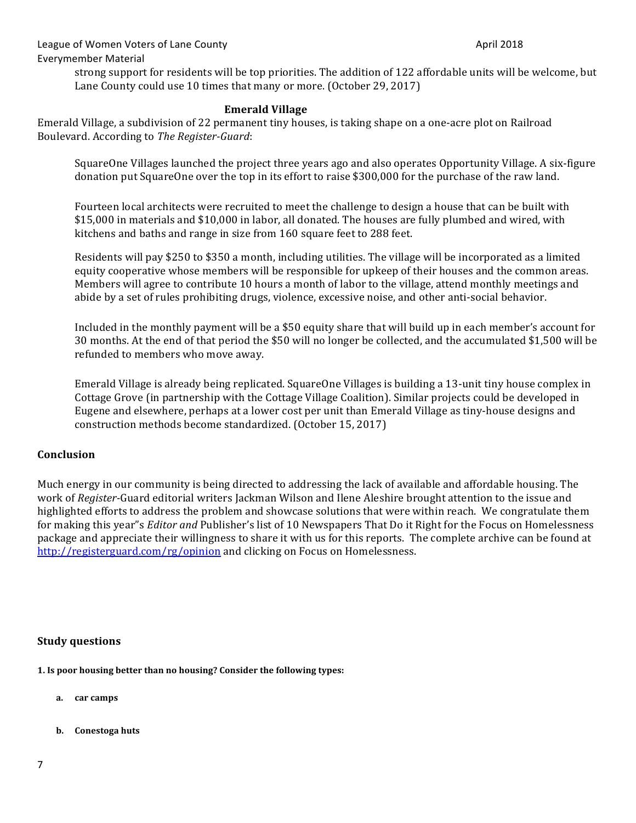strong support for residents will be top priorities. The addition of 122 affordable units will be welcome, but Lane County could use 10 times that many or more. (October 29, 2017)

#### **Emerald Village**

Emerald Village, a subdivision of 22 permanent tiny houses, is taking shape on a one-acre plot on Railroad Boulevard. According to *The Register-Guard*:

SquareOne Villages launched the project three years ago and also operates Opportunity Village. A six-figure donation put SquareOne over the top in its effort to raise \$300,000 for the purchase of the raw land.

Fourteen local architects were recruited to meet the challenge to design a house that can be built with \$15,000 in materials and \$10,000 in labor, all donated. The houses are fully plumbed and wired, with kitchens and baths and range in size from 160 square feet to 288 feet.

Residents will pay \$250 to \$350 a month, including utilities. The village will be incorporated as a limited equity cooperative whose members will be responsible for upkeep of their houses and the common areas. Members will agree to contribute 10 hours a month of labor to the village, attend monthly meetings and abide by a set of rules prohibiting drugs, violence, excessive noise, and other anti-social behavior.

Included in the monthly payment will be a \$50 equity share that will build up in each member's account for 30 months. At the end of that period the \$50 will no longer be collected, and the accumulated \$1,500 will be refunded to members who move away.

Emerald Village is already being replicated. SquareOne Villages is building a 13-unit tiny house complex in Cottage Grove (in partnership with the Cottage Village Coalition). Similar projects could be developed in Eugene and elsewhere, perhaps at a lower cost per unit than Emerald Village as tiny-house designs and construction methods become standardized. (October 15, 2017)

## **Conclusion**

Much energy in our community is being directed to addressing the lack of available and affordable housing. The work of *Register*-Guard editorial writers Jackman Wilson and Ilene Aleshire brought attention to the issue and highlighted efforts to address the problem and showcase solutions that were within reach. We congratulate them for making this year"s *Editor and* Publisher's list of 10 Newspapers That Do it Right for the Focus on Homelessness package and appreciate their willingness to share it with us for this reports. The complete archive can be found at http://registerguard.com/rg/opinion and clicking on Focus on Homelessness.

#### **Study questions**

**1.** Is poor housing better than no housing? Consider the following types:

- **a. car camps**
- **b. Conestoga** huts